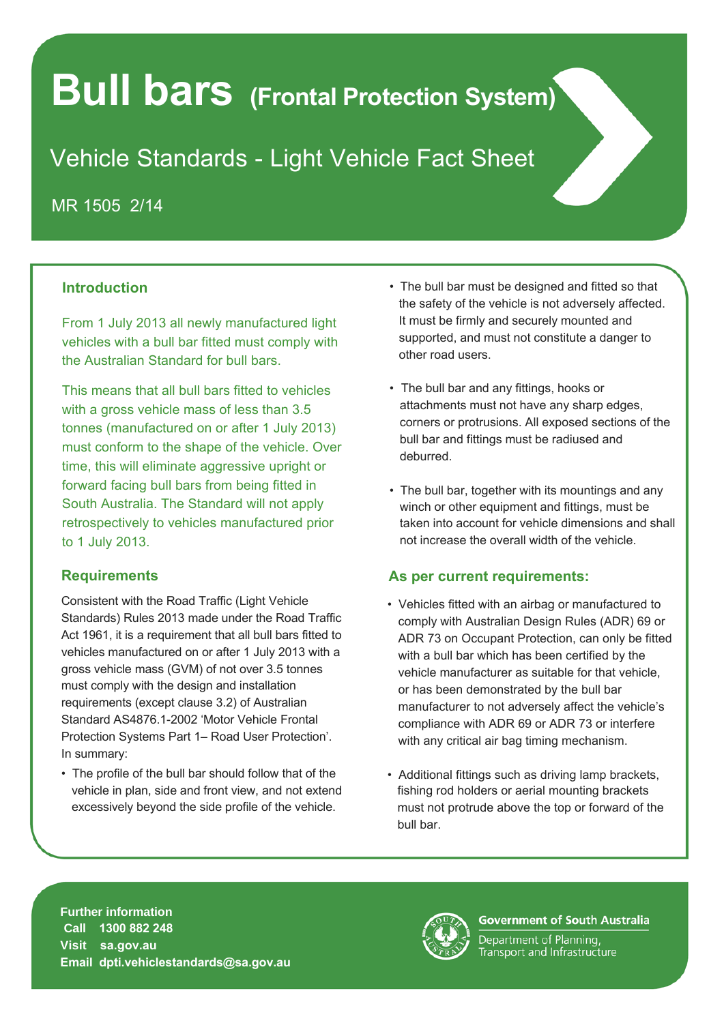# **Bull bars (Frontal Protection System)**

# Vehicle Standards - Light Vehicle Fact Sheet

MR 1505 2/14

## **Introduction**

From 1 July 2013 all newly manufactured light vehicles with a bull bar fitted must comply with the Australian Standard for bull bars.

This means that all bull bars fitted to vehicles with a gross vehicle mass of less than 3.5 tonnes (manufactured on or after 1 July 2013) must conform to the shape of the vehicle. Over time, this will eliminate aggressive upright or forward facing bull bars from being fitted in South Australia. The Standard will not apply retrospectively to vehicles manufactured prior to 1 July 2013.

#### **Requirements**

Consistent with the Road Traffic (Light Vehicle Standards) Rules 2013 made under the Road Traffic Act 1961, it is a requirement that all bull bars fitted to vehicles manufactured on or after 1 July 2013 with a gross vehicle mass (GVM) of not over 3.5 tonnes must comply with the design and installation requirements (except clause 3.2) of Australian Standard AS4876.1-2002 'Motor Vehicle Frontal Protection Systems Part 1– Road User Protection'. In summary:

• The profile of the bull bar should follow that of the vehicle in plan, side and front view, and not extend excessively beyond the side profile of the vehicle.

- The bull bar must be designed and fitted so that the safety of the vehicle is not adversely affected. It must be firmly and securely mounted and supported, and must not constitute a danger to other road users.
- The bull bar and any fittings, hooks or attachments must not have any sharp edges, corners or protrusions. All exposed sections of the bull bar and fittings must be radiused and deburred.
- The bull bar, together with its mountings and any winch or other equipment and fittings, must be taken into account for vehicle dimensions and shall not increase the overall width of the vehicle.

## **As per current requirements:**

- Vehicles fitted with an airbag or manufactured to comply with Australian Design Rules (ADR) 69 or ADR 73 on Occupant Protection, can only be fitted with a bull bar which has been certified by the vehicle manufacturer as suitable for that vehicle, or has been demonstrated by the bull bar manufacturer to not adversely affect the vehicle's compliance with ADR 69 or ADR 73 or interfere with any critical air bag timing mechanism.
- Additional fittings such as driving lamp brackets, fishing rod holders or aerial mounting brackets must not protrude above the top or forward of the bull bar.

**Further information Call 1300 882 248 Visit sa.gov.au Email dpti.vehiclestandards@sa.gov.au** 



**Government of South Australia** 

Department of Planning, Transport and Infrastructure